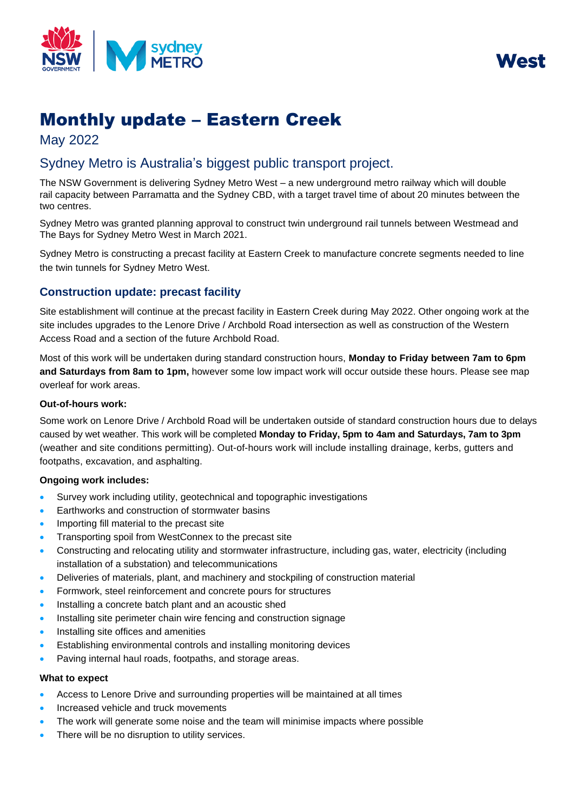

West

# Monthly update – Eastern Creek

May 2022

## Sydney Metro is Australia's biggest public transport project.

The NSW Government is delivering Sydney Metro West – a new underground metro railway which will double rail capacity between Parramatta and the Sydney CBD, with a target travel time of about 20 minutes between the two centres.

Sydney Metro was granted planning approval to construct twin underground rail tunnels between Westmead and The Bays for Sydney Metro West in March 2021.

Sydney Metro is constructing a precast facility at Eastern Creek to manufacture concrete segments needed to line the twin tunnels for Sydney Metro West.

### **Construction update: precast facility**

Site establishment will continue at the precast facility in Eastern Creek during May 2022. Other ongoing work at the site includes upgrades to the Lenore Drive / Archbold Road intersection as well as construction of the Western Access Road and a section of the future Archbold Road.

Most of this work will be undertaken during standard construction hours, **Monday to Friday between 7am to 6pm and Saturdays from 8am to 1pm,** however some low impact work will occur outside these hours. Please see map overleaf for work areas.

#### **Out-of-hours work:**

Some work on Lenore Drive / Archbold Road will be undertaken outside of standard construction hours due to delays caused by wet weather. This work will be completed **Monday to Friday, 5pm to 4am and Saturdays, 7am to 3pm** (weather and site conditions permitting). Out-of-hours work will include installing drainage, kerbs, gutters and footpaths, excavation, and asphalting.

#### **Ongoing work includes:**

- Survey work including utility, geotechnical and topographic investigations
- Earthworks and construction of stormwater basins
- Importing fill material to the precast site
- Transporting spoil from WestConnex to the precast site
- Constructing and relocating utility and stormwater infrastructure, including gas, water, electricity (including installation of a substation) and telecommunications
- Deliveries of materials, plant, and machinery and stockpiling of construction material
- Formwork, steel reinforcement and concrete pours for structures
- Installing a concrete batch plant and an acoustic shed
- Installing site perimeter chain wire fencing and construction signage
- Installing site offices and amenities
- Establishing environmental controls and installing monitoring devices
- Paving internal haul roads, footpaths, and storage areas.

#### **What to expect**

- Access to Lenore Drive and surrounding properties will be maintained at all times
- Increased vehicle and truck movements
- The work will generate some noise and the team will minimise impacts where possible
- There will be no disruption to utility services.